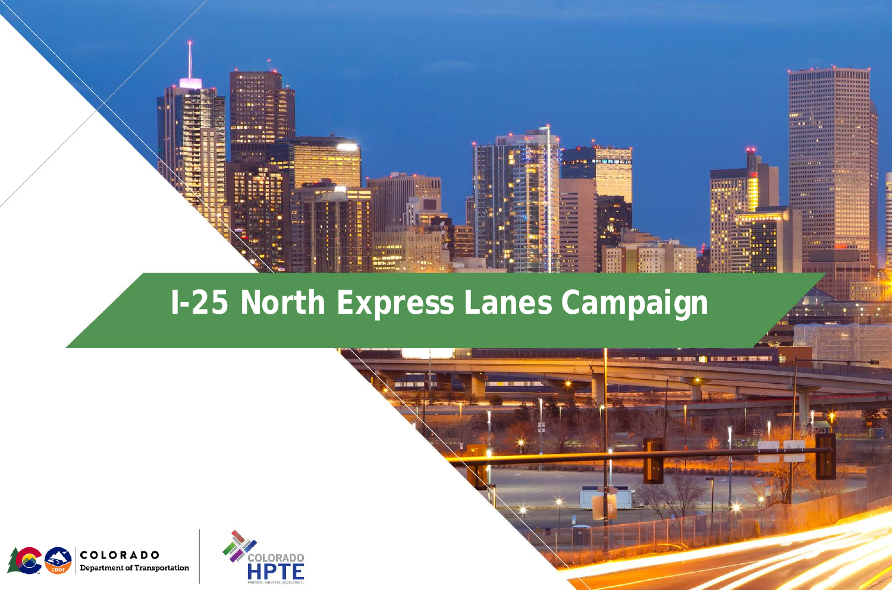

#### **I-25 North Express Lanes Campaign**

<u> DE L'ASSION (A) D'EUROPE EN PRESENT</u>

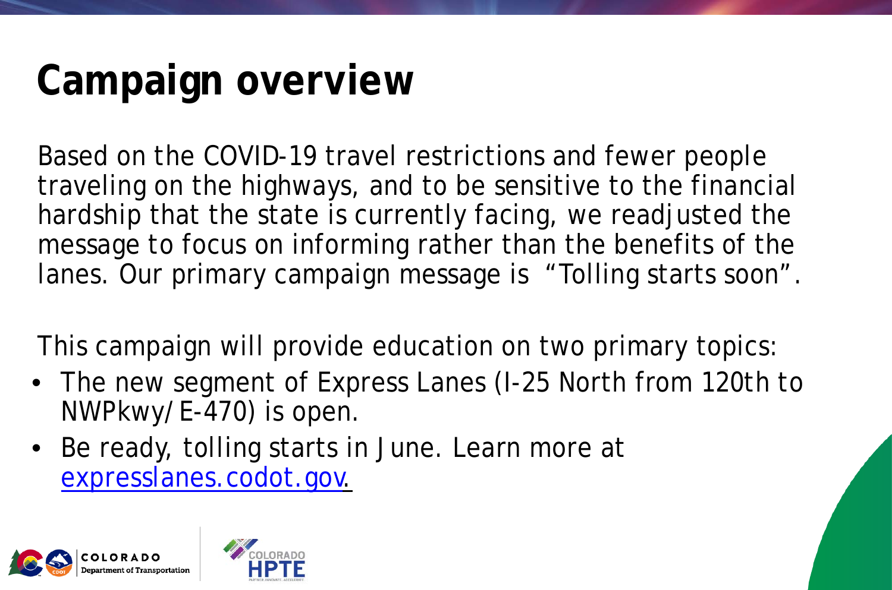## **Campaign overview**

Based on the COVID-19 travel restrictions and fewer people traveling on the highways, and to be sensitive to the financial hardship that the state is currently facing, we readjusted the message to focus on informing rather than the benefits of the lanes. Our primary campaign message is "Tolling starts soon".

This campaign will provide education on two primary topics:

- The new segment of Express Lanes (I-25 North from 120th to NWPkwy/E-470) is open.
- Be ready, tolling starts in June. Learn more at [expresslanes.codot.gov.](https://www.codot.gov/programs/expresslanes)

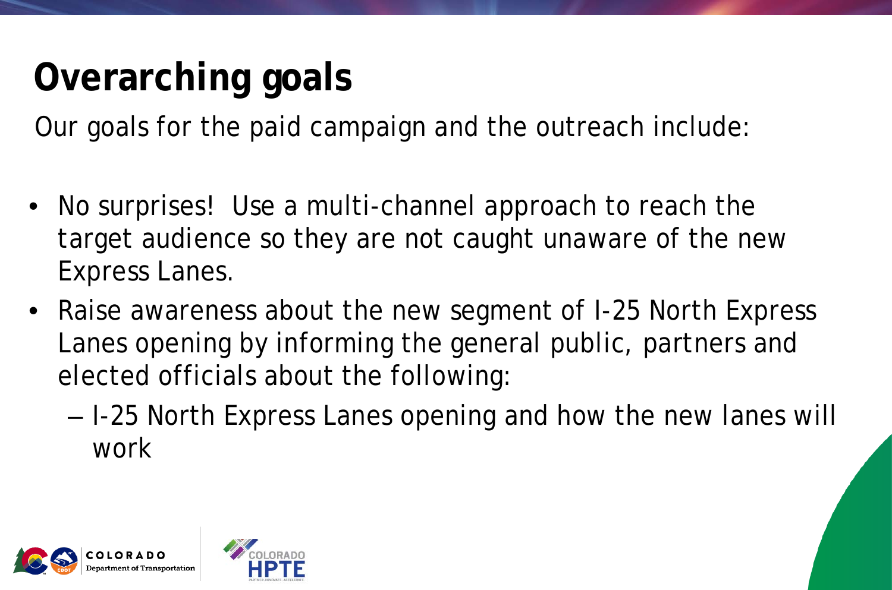### **Overarching goals**

Our goals for the paid campaign and the outreach include:

- No surprises! Use a multi-channel approach to reach the target audience so they are not caught unaware of the new Express Lanes.
- Raise awareness about the new segment of I-25 North Express Lanes opening by informing the general public, partners and elected officials about the following:
	- I-25 North Express Lanes opening and how the new lanes will work

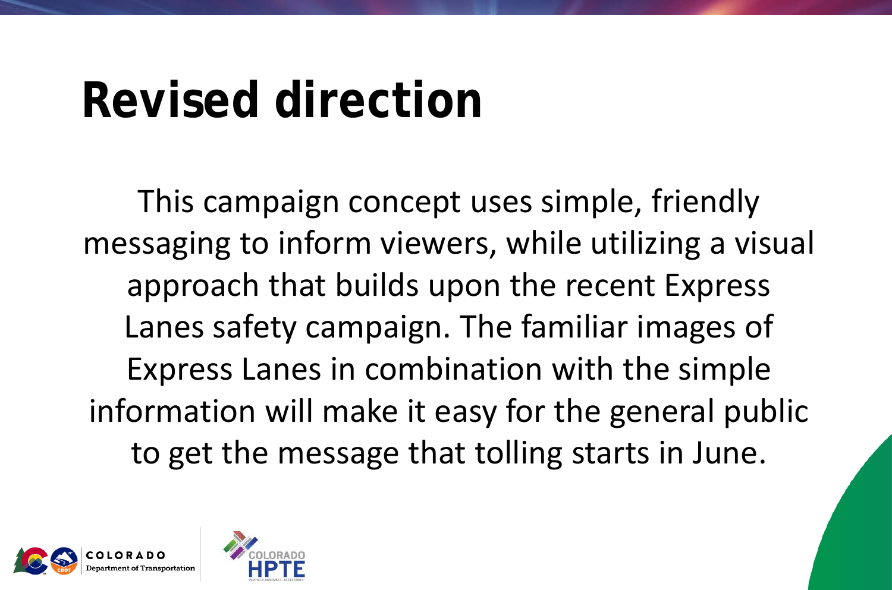# **Revised direction**

This campaign concept uses simple, friendly messaging to inform viewers, while utilizing a visual approach that builds upon the recent Express Lanes safety campaign. The familiar images of Express Lanes in combination with the simple information will make it easy for the general public to get the message that tolling starts in June.

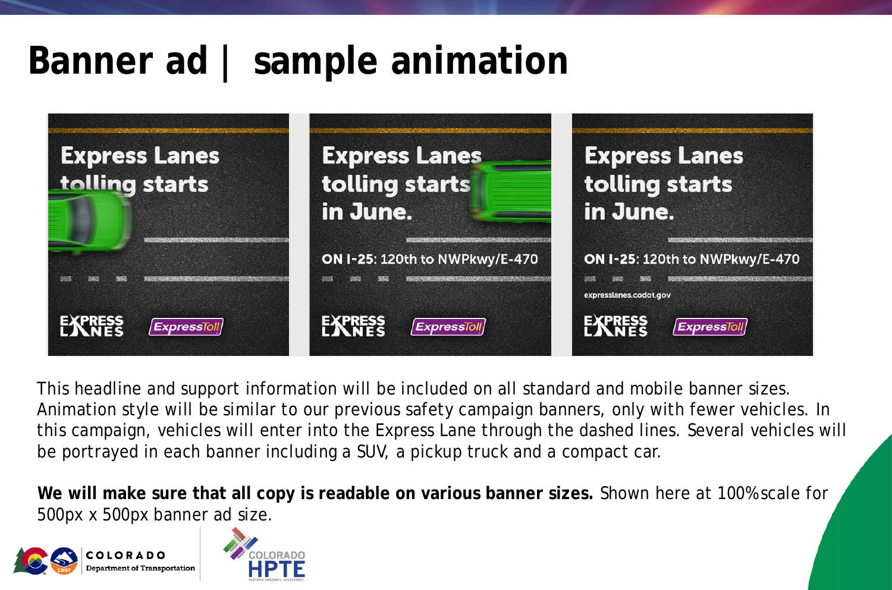### **Banner ad | sample animation**



This headline and support information will be included on all standard and mobile banner sizes. Animation style will be similar to our previous safety campaign banners, only with fewer vehicles. In this campaign, vehicles will enter into the Express Lane through the dashed lines. Several vehicles will be portrayed in each banner including a SUV, a pickup truck and a compact car.

**We will make sure that all copy is readable on various banner sizes.** Shown here at 100% scale for 500px x 500px banner ad size.



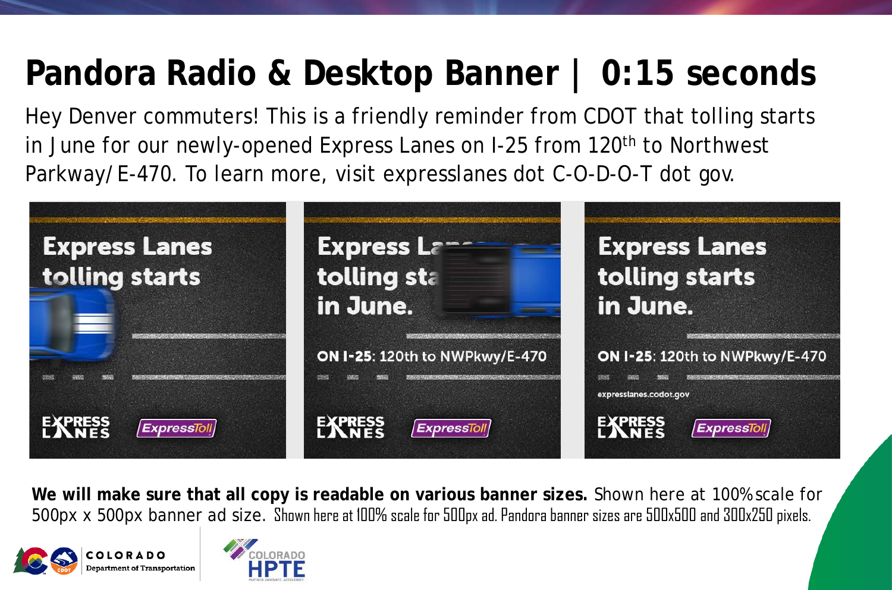### **Pandora Radio & Desktop Banner | 0:15 seconds**

Hey Denver commuters! This is a friendly reminder from CDOT that tolling starts in June for our newly-opened Express Lanes on I-25 from 120<sup>th</sup> to Northwest Parkway/E-470. To learn more, visit expresslanes dot C-O-D-O-T dot gov.



**We will make sure that all copy is readable on various banner sizes.** Shown here at 100% scale for 500px x 500px banner ad size. Shown here at 100% scale for 500px ad. Pandora banner sizes are 500x500 and 300x250 pixels.